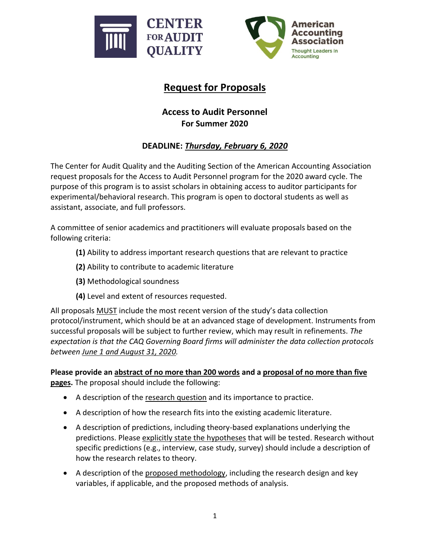



## **Request for Proposals**

## **Access to Audit Personnel For Summer 2020**

## **DEADLINE:** *Thursday, February 6, 2020*

The Center for Audit Quality and the Auditing Section of the American Accounting Association request proposals for the Access to Audit Personnel program for the 2020 award cycle. The purpose of this program is to assist scholars in obtaining access to auditor participants for experimental/behavioral research. This program is open to doctoral students as well as assistant, associate, and full professors.

A committee of senior academics and practitioners will evaluate proposals based on the following criteria:

- **(1)** Ability to address important research questions that are relevant to practice
- **(2)** Ability to contribute to academic literature
- **(3)** Methodological soundness
- **(4)** Level and extent of resources requested.

All proposals MUST include the most recent version of the study's data collection protocol/instrument, which should be at an advanced stage of development. Instruments from successful proposals will be subject to further review, which may result in refinements. *The expectation is that the CAQ Governing Board firms will administer the data collection protocols between June 1 and August 31, 2020.*

**Please provide an abstract of no more than 200 words and a proposal of no more than five pages.** The proposal should include the following:

- A description of the research question and its importance to practice.
- A description of how the research fits into the existing academic literature.
- A description of predictions, including theory-based explanations underlying the predictions. Please explicitly state the hypotheses that will be tested. Research without specific predictions (e.g., interview, case study, survey) should include a description of how the research relates to theory.
- A description of the proposed methodology, including the research design and key variables, if applicable, and the proposed methods of analysis.